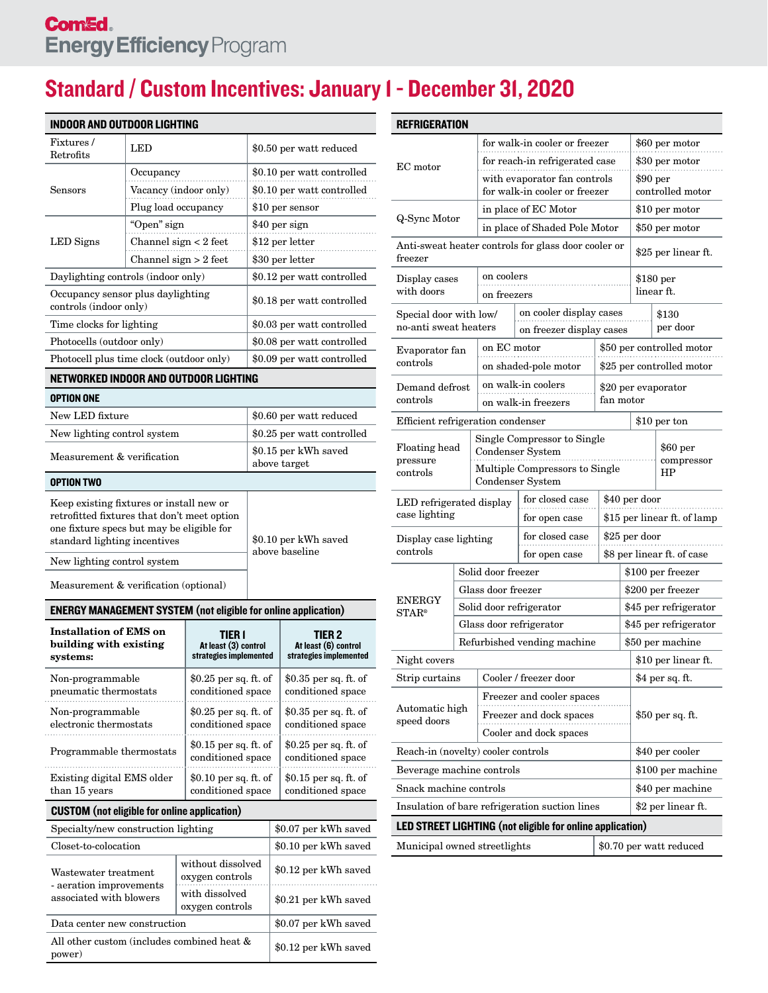## Standard / Custom Incentives: January 1 - December 31, 2020

| <b>INDOOR AND OUTDOOR LIGHTING</b>                                                                                                                |                                   |                                            |                                                                 |                                            |                                        |                                                          |  |  |
|---------------------------------------------------------------------------------------------------------------------------------------------------|-----------------------------------|--------------------------------------------|-----------------------------------------------------------------|--------------------------------------------|----------------------------------------|----------------------------------------------------------|--|--|
| Fixtures/                                                                                                                                         | LED                               |                                            |                                                                 |                                            | \$0.50 per watt reduced                |                                                          |  |  |
| Retrofits                                                                                                                                         |                                   |                                            |                                                                 |                                            |                                        |                                                          |  |  |
|                                                                                                                                                   | Occupancy                         |                                            |                                                                 | \$0.10 per watt controlled                 |                                        |                                                          |  |  |
| Sensors                                                                                                                                           | Vacancy (indoor only)             |                                            |                                                                 | \$0.10 per watt controlled                 |                                        |                                                          |  |  |
|                                                                                                                                                   | Plug load occupancy               |                                            |                                                                 | $\$10$ per sensor                          |                                        |                                                          |  |  |
|                                                                                                                                                   | "Open" sign                       |                                            | \$40 per sign                                                   |                                            |                                        |                                                          |  |  |
| LED Signs                                                                                                                                         | Channel sign $<$ 2 feet           |                                            |                                                                 |                                            | \$12 per letter                        |                                                          |  |  |
|                                                                                                                                                   | Channel sign $> 2$ feet           | \$30 per letter                            |                                                                 |                                            |                                        |                                                          |  |  |
| Daylighting controls (indoor only)                                                                                                                |                                   |                                            |                                                                 | \$0.12 per watt controlled                 |                                        |                                                          |  |  |
| Occupancy sensor plus daylighting<br>controls (indoor only)                                                                                       |                                   |                                            |                                                                 | \$0.18 per watt controlled                 |                                        |                                                          |  |  |
| Time clocks for lighting                                                                                                                          |                                   |                                            |                                                                 | \$0.03 per watt controlled                 |                                        |                                                          |  |  |
| Photocells (outdoor only)                                                                                                                         |                                   |                                            |                                                                 |                                            | \$0.08 per watt controlled             |                                                          |  |  |
| Photocell plus time clock (outdoor only)                                                                                                          |                                   |                                            |                                                                 | \$0.09 per watt controlled                 |                                        |                                                          |  |  |
| NETWORKED INDOOR AND OUTDOOR LIGHTING                                                                                                             |                                   |                                            |                                                                 |                                            |                                        |                                                          |  |  |
| <b>OPTION ONE</b>                                                                                                                                 |                                   |                                            |                                                                 |                                            |                                        |                                                          |  |  |
| New LED fixture                                                                                                                                   |                                   |                                            |                                                                 | \$0.60 per watt reduced                    |                                        |                                                          |  |  |
| New lighting control system                                                                                                                       |                                   |                                            |                                                                 |                                            | \$0.25 per watt controlled             |                                                          |  |  |
| Measurement & verification                                                                                                                        |                                   |                                            |                                                                 |                                            |                                        | \$0.15 per kWh saved<br>above target                     |  |  |
| OPTION TWO                                                                                                                                        |                                   |                                            |                                                                 |                                            |                                        |                                                          |  |  |
| one fixture specs but may be eligible for<br>standard lighting incentives<br>New lighting control system<br>Measurement & verification (optional) |                                   |                                            |                                                                 |                                            | \$0.10 per kWh saved<br>above baseline |                                                          |  |  |
|                                                                                                                                                   |                                   |                                            |                                                                 |                                            |                                        |                                                          |  |  |
| <b>ENERGY MANAGEMENT SYSTEM (not eligible for online application)</b>                                                                             |                                   |                                            |                                                                 |                                            |                                        |                                                          |  |  |
| <b>Installation of EMS on</b><br>building with existing<br>systems:                                                                               |                                   |                                            | <b>TIER I</b><br>At least (3) control<br>strategies implemented |                                            |                                        | TIER 2<br>At least (6) control<br>strategies implemented |  |  |
| Non-programmable<br>pneumatic thermostats                                                                                                         |                                   |                                            | \$0.25 per sq. ft. of<br>conditioned space                      |                                            |                                        | \$0.35 per sq. ft. of<br>conditioned space               |  |  |
| Non-programmable<br>electronic thermostats                                                                                                        |                                   |                                            | \$0.25 per sq. ft. of<br>conditioned space                      |                                            |                                        | \$0.35 per sq. ft. of<br>conditioned space               |  |  |
| Programmable thermostats                                                                                                                          |                                   | \$0.15 per sq. ft. of<br>conditioned space |                                                                 | \$0.25 per sq. ft. of<br>conditioned space |                                        |                                                          |  |  |
| Existing digital EMS older<br>\$0.10 per sq. ft. of<br>conditioned space<br>than 15 years                                                         |                                   |                                            |                                                                 |                                            |                                        | \$0.15 per sq. ft. of<br>conditioned space               |  |  |
| <b>CUSTOM</b> (not eligible for online application)                                                                                               |                                   |                                            |                                                                 |                                            |                                        |                                                          |  |  |
| Specialty/new construction lighting                                                                                                               |                                   |                                            |                                                                 |                                            |                                        | \$0.07 per kWh saved                                     |  |  |
| Closet-to-colocation                                                                                                                              |                                   |                                            |                                                                 |                                            |                                        | \$0.10 per kWh saved                                     |  |  |
|                                                                                                                                                   |                                   |                                            | without dissolved                                               |                                            | \$0.12 per kWh saved                   |                                                          |  |  |
| Wastewater treatment<br>- aeration improvements                                                                                                   |                                   |                                            | oxygen controls                                                 |                                            |                                        |                                                          |  |  |
| associated with blowers                                                                                                                           | with dissolved<br>oxygen controls |                                            |                                                                 |                                            |                                        | \$0.21 per kWh saved                                     |  |  |
| Data center new construction                                                                                                                      |                                   |                                            |                                                                 |                                            |                                        | \$0.07 per kWh saved                                     |  |  |

All other custom (includes combined heat  $\&$  \$0.12 per kWh saved

| <b>REFRIGERATION</b>                                                 |  |                                                                                |                                                                                                              |                           |                                         |                                              |  |  |
|----------------------------------------------------------------------|--|--------------------------------------------------------------------------------|--------------------------------------------------------------------------------------------------------------|---------------------------|-----------------------------------------|----------------------------------------------|--|--|
| EC motor                                                             |  |                                                                                | for walk-in cooler or freezer                                                                                |                           | \$60 per motor                          |                                              |  |  |
|                                                                      |  |                                                                                | for reach-in refrigerated case                                                                               |                           | \$30 per motor                          |                                              |  |  |
|                                                                      |  |                                                                                | with evaporator fan controls<br>for walk-in cooler or freezer                                                |                           |                                         | $$90\,\mathrm{per}$<br>controlled motor      |  |  |
|                                                                      |  |                                                                                | in place of EC Motor                                                                                         |                           |                                         | \$10 per motor                               |  |  |
| Q-Sync Motor                                                         |  |                                                                                | in place of Shaded Pole Motor                                                                                |                           |                                         | \$50 per motor                               |  |  |
| Anti-sweat heater controls for glass door cooler or<br>freezer       |  | \$25 per linear ft.                                                            |                                                                                                              |                           |                                         |                                              |  |  |
| Display cases<br>with doors                                          |  | on coolers                                                                     |                                                                                                              |                           | $$180~\mathrm{per}$                     |                                              |  |  |
|                                                                      |  | on freezers                                                                    |                                                                                                              |                           |                                         | linear ft.                                   |  |  |
| Special door with low/<br>no-anti sweat heaters                      |  |                                                                                | on cooler display cases<br>on freezer display cases                                                          |                           | \$130<br>per door                       |                                              |  |  |
| Evaporator fan                                                       |  |                                                                                | on EC motor                                                                                                  |                           |                                         | \$50 per controlled motor                    |  |  |
| controls                                                             |  | on shaded-pole motor                                                           |                                                                                                              | \$25 per controlled motor |                                         |                                              |  |  |
| Demand defrost<br>controls                                           |  |                                                                                | on walk-in coolers<br>on walk-in freezers                                                                    |                           |                                         | \$20 per evaporator<br>fan motor             |  |  |
|                                                                      |  |                                                                                | Efficient refrigeration condenser                                                                            |                           |                                         | \$10 per ton                                 |  |  |
| Floating head<br>pressure<br>controls                                |  |                                                                                | Single Compressor to Single<br><b>Condenser System</b><br>Multiple Compressors to Single<br>Condenser System |                           | $$60\,\mathrm{per}$<br>compressor<br>ΗP |                                              |  |  |
| LED refrigerated display<br>case lighting                            |  |                                                                                | for closed case<br>for open case                                                                             |                           |                                         | \$40 per door<br>\$15 per linear ft. of lamp |  |  |
| Display case lighting<br>controls                                    |  |                                                                                | \$25 per door<br>\$8 per linear ft. of case                                                                  |                           |                                         |                                              |  |  |
|                                                                      |  | Solid door freezer                                                             | \$100 per freezer                                                                                            |                           |                                         |                                              |  |  |
| <b>ENERGY</b><br>$STAR^*$                                            |  | Glass door freezer                                                             |                                                                                                              |                           | \$200 per freezer                       |                                              |  |  |
|                                                                      |  |                                                                                | Solid door refrigerator                                                                                      |                           | \$45 per refrigerator                   |                                              |  |  |
|                                                                      |  |                                                                                | Glass door refrigerator                                                                                      | \$45 per refrigerator     |                                         |                                              |  |  |
|                                                                      |  |                                                                                | Refurbished vending machine                                                                                  | \$50 per machine          |                                         |                                              |  |  |
| Night covers                                                         |  |                                                                                |                                                                                                              |                           | \$10 per linear ft.                     |                                              |  |  |
| Strip curtains                                                       |  | Cooler / freezer door                                                          |                                                                                                              | \$4 per sq. ft.           |                                         |                                              |  |  |
| Automatic high<br>speed doors                                        |  | Freezer and cooler spaces<br>Freezer and dock spaces<br>Cooler and dock spaces |                                                                                                              |                           |                                         | \$50 per sq. ft.                             |  |  |
| Reach-in (novelty) cooler controls                                   |  |                                                                                |                                                                                                              |                           |                                         | \$40 per cooler                              |  |  |
| Beverage machine controls                                            |  |                                                                                |                                                                                                              |                           | \$100 per machine                       |                                              |  |  |
| Snack machine controls                                               |  |                                                                                |                                                                                                              |                           | \$40 per machine                        |                                              |  |  |
| Insulation of bare refrigeration suction lines<br>\$2 per linear ft. |  |                                                                                |                                                                                                              |                           |                                         |                                              |  |  |
| <b>LED STREET LIGHTING (not eligible for online application)</b>     |  |                                                                                |                                                                                                              |                           |                                         |                                              |  |  |
| Municipal owned streetlights<br>\$0.70 per watt reduced              |  |                                                                                |                                                                                                              |                           |                                         |                                              |  |  |
|                                                                      |  |                                                                                |                                                                                                              |                           |                                         |                                              |  |  |